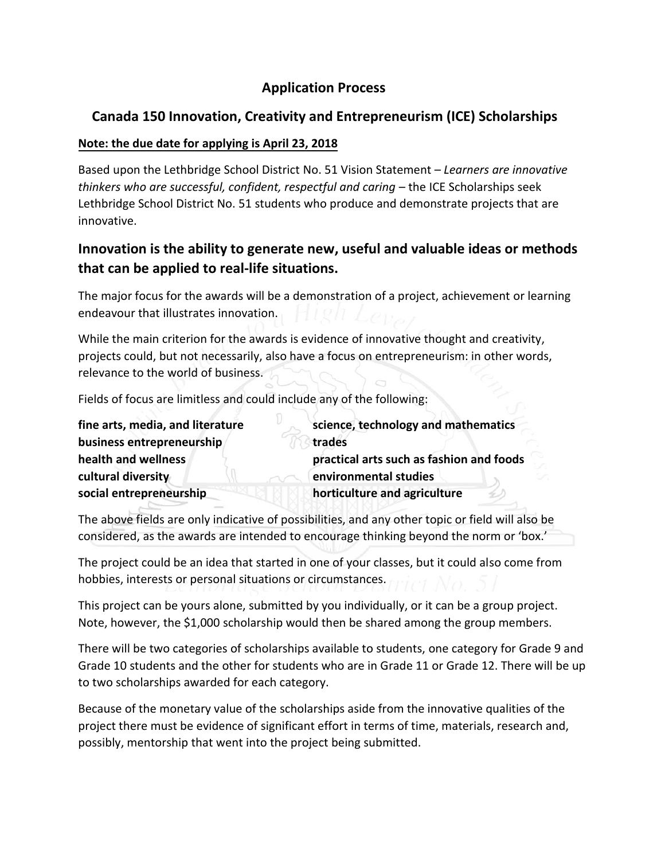# **Application Process**

# **Canada 150 Innovation, Creativity and Entrepreneurism (ICE) Scholarships**

### **Note: the due date for applying is April 23, 2018**

Based upon the Lethbridge School District No. 51 Vision Statement – *Learners are innovative thinkers who are successful, confident, respectful and caring* – the ICE Scholarships seek Lethbridge School District No. 51 students who produce and demonstrate projects that are innovative.

# **Innovation is the ability to generate new, useful and valuable ideas or methods that can be applied to real-life situations.**

The major focus for the awards will be a demonstration of a project, achievement or learning endeavour that illustrates innovation.

While the main criterion for the awards is evidence of innovative thought and creativity, projects could, but not necessarily, also have a focus on entrepreneurism: in other words, relevance to the world of business.

Fields of focus are limitless and could include any of the following:

| fine arts, media, and literature | science, technology and mathematics      |
|----------------------------------|------------------------------------------|
| business entrepreneurship        | trades                                   |
| health and wellness              | practical arts such as fashion and foods |
| cultural diversity               | environmental studies                    |
| social entrepreneurship          | horticulture and agriculture             |

The above fields are only indicative of possibilities, and any other topic or field will also be considered, as the awards are intended to encourage thinking beyond the norm or 'box.'

The project could be an idea that started in one of your classes, but it could also come from hobbies, interests or personal situations or circumstances.

This project can be yours alone, submitted by you individually, or it can be a group project. Note, however, the \$1,000 scholarship would then be shared among the group members.

There will be two categories of scholarships available to students, one category for Grade 9 and Grade 10 students and the other for students who are in Grade 11 or Grade 12. There will be up to two scholarships awarded for each category.

Because of the monetary value of the scholarships aside from the innovative qualities of the project there must be evidence of significant effort in terms of time, materials, research and, possibly, mentorship that went into the project being submitted.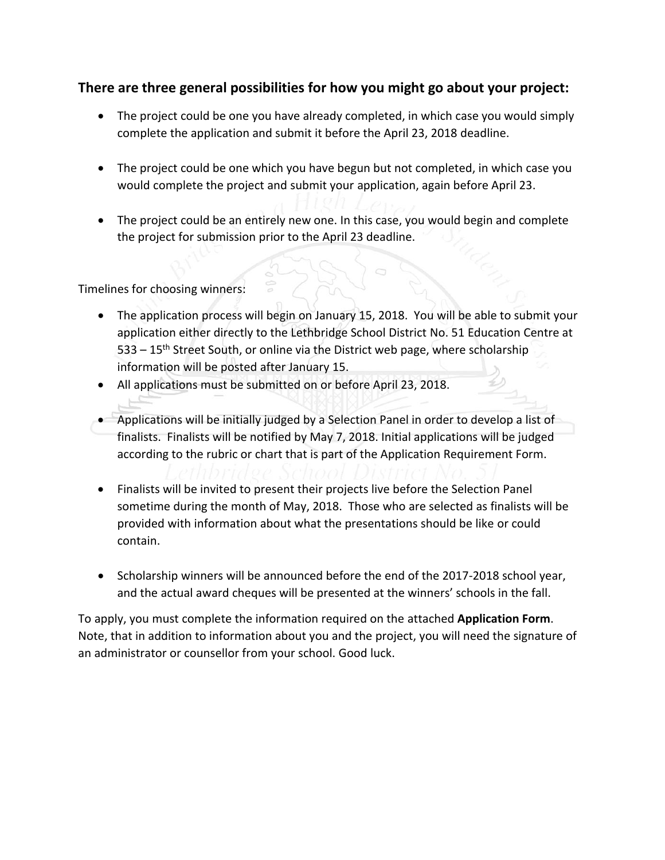### **There are three general possibilities for how you might go about your project:**

- The project could be one you have already completed, in which case you would simply complete the application and submit it before the April 23, 2018 deadline.
- The project could be one which you have begun but not completed, in which case you would complete the project and submit your application, again before April 23.
- The project could be an entirely new one. In this case, you would begin and complete the project for submission prior to the April 23 deadline.

Timelines for choosing winners:

- The application process will begin on January 15, 2018. You will be able to submit your application either directly to the Lethbridge School District No. 51 Education Centre at 533 – 15<sup>th</sup> Street South, or online via the District web page, where scholarship information will be posted after January 15.
- All applications must be submitted on or before April 23, 2018.
- Applications will be initially judged by a Selection Panel in order to develop a list of finalists. Finalists will be notified by May 7, 2018. Initial applications will be judged according to the rubric or chart that is part of the Application Requirement Form.
- Finalists will be invited to present their projects live before the Selection Panel sometime during the month of May, 2018. Those who are selected as finalists will be provided with information about what the presentations should be like or could contain.
- Scholarship winners will be announced before the end of the 2017-2018 school year, and the actual award cheques will be presented at the winners' schools in the fall.

To apply, you must complete the information required on the attached **Application Form**. Note, that in addition to information about you and the project, you will need the signature of an administrator or counsellor from your school. Good luck.